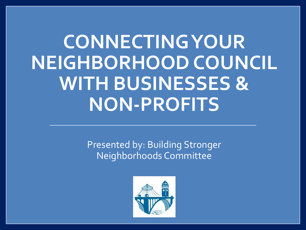## **CONNECTING YOUR NEIGHBORHOOD COUNCIL WITH BUSINESSES & NON-PROFITS**

Presented by: Building Stronger Neighborhoods Committee

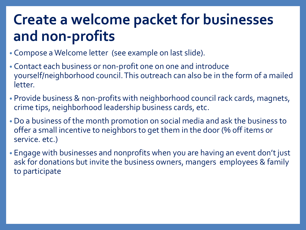## **Create a welcome packet for businesses and non-profits**

- Compose a Welcome letter (see example on last slide).
- Contact each business or non-profit one on one and introduce yourself/neighborhood council. This outreach can also be in the form of a mailed letter.
- Provide business & non-profits with neighborhood council rack cards, magnets, crime tips, neighborhood leadership business cards, etc.
- Do a business of the month promotion on social media and ask the business to offer a small incentive to neighbors to get them in the door (% off items or service. etc.)
- Engage with businesses and nonprofits when you are having an event don't just ask for donations but invite the business owners, mangers employees & family to participate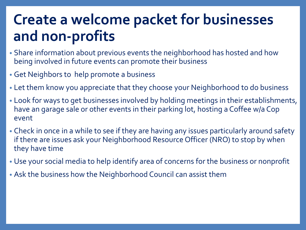## **Create a welcome packet for businesses and non-profits**

- Share information about previous events the neighborhood has hosted and how being involved in future events can promote their business
- Get Neighbors to help promote a business
- Let them know you appreciate that they choose your Neighborhood to do business
- Look for ways to get businesses involved by holding meetings in their establishments, have an garage sale or other events in their parking lot, hosting a Coffee w/a Cop event
- Check in once in a while to see if they are having any issues particularly around safety if there are issues ask your Neighborhood Resource Officer (NRO) to stop by when they have time
- Use your social media to help identify area of concerns for the business or nonprofit
- Ask the business how the Neighborhood Council can assist them